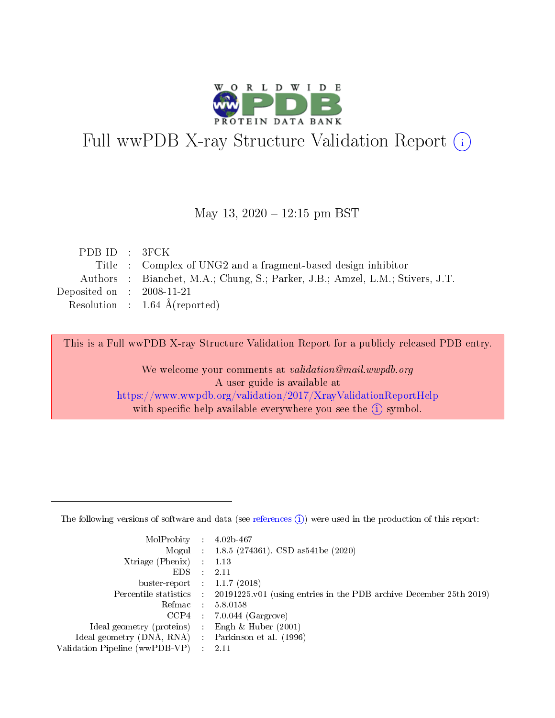

# Full wwPDB X-ray Structure Validation Report (i)

#### May 13,  $2020 - 12:15$  pm BST

| PDBID : 3FCK                |                                                                               |
|-----------------------------|-------------------------------------------------------------------------------|
|                             | Title : Complex of UNG2 and a fragment-based design inhibitor                 |
|                             | Authors : Bianchet, M.A.; Chung, S.; Parker, J.B.; Amzel, L.M.; Stivers, J.T. |
| Deposited on : $2008-11-21$ |                                                                               |
|                             | Resolution : $1.64 \text{ Å}$ (reported)                                      |

This is a Full wwPDB X-ray Structure Validation Report for a publicly released PDB entry.

We welcome your comments at validation@mail.wwpdb.org A user guide is available at <https://www.wwpdb.org/validation/2017/XrayValidationReportHelp> with specific help available everywhere you see the  $(i)$  symbol.

The following versions of software and data (see [references](https://www.wwpdb.org/validation/2017/XrayValidationReportHelp#references)  $(1)$ ) were used in the production of this report:

| MolProbity :                   |               | $4.02b - 467$                                                               |
|--------------------------------|---------------|-----------------------------------------------------------------------------|
|                                |               | Mogul : $1.8.5$ (274361), CSD as 541be (2020)                               |
| $X$ triage (Phenix) :          |               | 1.13                                                                        |
| EDS.                           |               | 2.11                                                                        |
| buster-report : $1.1.7$ (2018) |               |                                                                             |
| Percentile statistics :        |               | $20191225 \text{v}01$ (using entries in the PDB archive December 25th 2019) |
| Refmac :                       |               | 5.8.0158                                                                    |
| $CCP4$ :                       |               | $7.0.044$ (Gargrove)                                                        |
| Ideal geometry (proteins) :    |               | Engh $\&$ Huber (2001)                                                      |
| Ideal geometry (DNA, RNA) :    |               | Parkinson et al. (1996)                                                     |
| Validation Pipeline (wwPDB-VP) | $\mathcal{L}$ | 2.11                                                                        |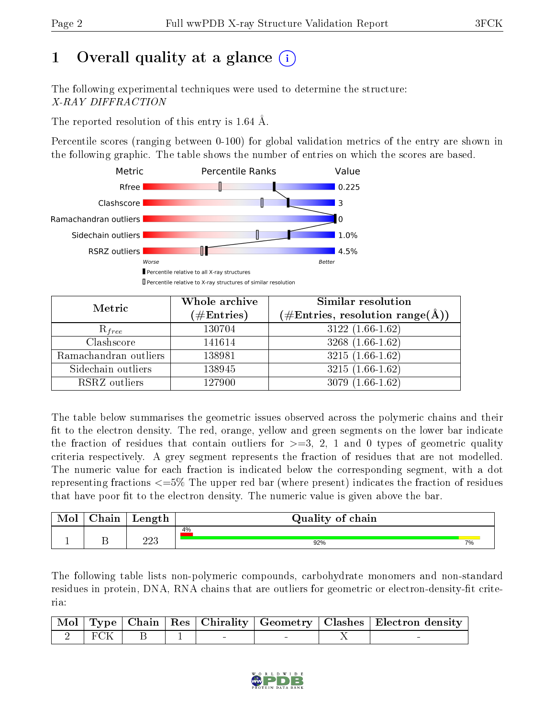# 1 [O](https://www.wwpdb.org/validation/2017/XrayValidationReportHelp#overall_quality)verall quality at a glance  $(i)$

The following experimental techniques were used to determine the structure: X-RAY DIFFRACTION

The reported resolution of this entry is 1.64 Å.

Percentile scores (ranging between 0-100) for global validation metrics of the entry are shown in the following graphic. The table shows the number of entries on which the scores are based.



| Metric                | Whole archive<br>$(\#\mathrm{Entries})$ | Similar resolution<br>$(\#\text{Entries}, \text{resolution range}(\textup{\AA}))$ |
|-----------------------|-----------------------------------------|-----------------------------------------------------------------------------------|
| $R_{free}$            | 130704                                  | $3122(1.66-1.62)$                                                                 |
| Clashscore            | 141614                                  | $3268(1.66-1.62)$                                                                 |
| Ramachandran outliers | 138981                                  | $3215(1.66-1.62)$                                                                 |
| Sidechain outliers    | 138945                                  | $3215(1.66-1.62)$                                                                 |
| RSRZ outliers         | 127900                                  | $3079(1.66-1.62)$                                                                 |

The table below summarises the geometric issues observed across the polymeric chains and their fit to the electron density. The red, orange, yellow and green segments on the lower bar indicate the fraction of residues that contain outliers for  $>=3, 2, 1$  and 0 types of geometric quality criteria respectively. A grey segment represents the fraction of residues that are not modelled. The numeric value for each fraction is indicated below the corresponding segment, with a dot representing fractions <=5% The upper red bar (where present) indicates the fraction of residues that have poor fit to the electron density. The numeric value is given above the bar.

|   | ~<br>hain | Length        | Quality of chain |    |
|---|-----------|---------------|------------------|----|
|   |           |               | 4%               |    |
| - |           | ററാ<br>ں کے ک | 92%              | 7% |

The following table lists non-polymeric compounds, carbohydrate monomers and non-standard residues in protein, DNA, RNA chains that are outliers for geometric or electron-density-fit criteria:

|  |  |  | Mol   Type   Chain   Res   Chirality   Geometry   Clashes   Electron density |
|--|--|--|------------------------------------------------------------------------------|
|  |  |  |                                                                              |

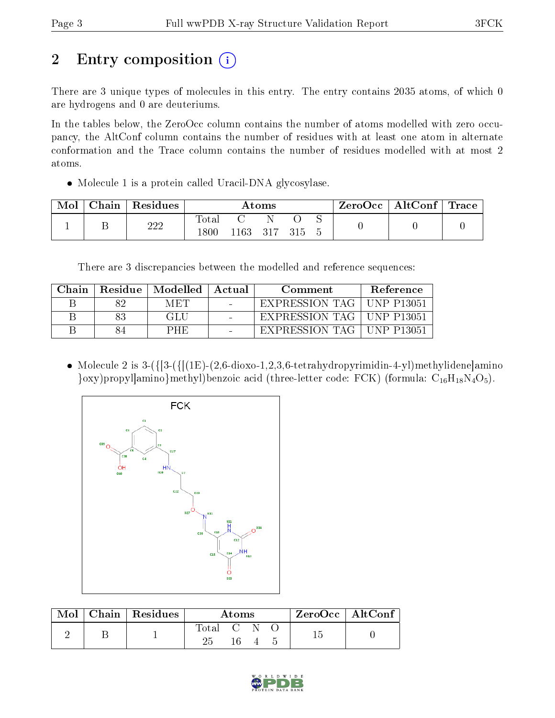# 2 Entry composition (i)

There are 3 unique types of molecules in this entry. The entry contains 2035 atoms, of which 0 are hydrogens and 0 are deuteriums.

In the tables below, the ZeroOcc column contains the number of atoms modelled with zero occupancy, the AltConf column contains the number of residues with at least one atom in alternate conformation and the Trace column contains the number of residues modelled with at most 2 atoms.

• Molecule 1 is a protein called Uracil-DNA glycosylase.

| Mol | Chain | Residues | Atoms |     |       |  | $ZeroOcc \   \ AltConf \  $ | $^{\shortmid}$ Trace |  |
|-----|-------|----------|-------|-----|-------|--|-----------------------------|----------------------|--|
|     |       | 222      | Total |     |       |  |                             |                      |  |
|     |       |          | .800  | 163 | - 317 |  |                             |                      |  |

There are 3 discrepancies between the modelled and reference sequences:

| Chain |    | Residue   Modelled   Actual | Comment                     | Reference        |
|-------|----|-----------------------------|-----------------------------|------------------|
|       |    | M ETI                       | EXPRESSION TAG              | UNP P13051       |
|       | 83 | GLU                         | EXPRESSION TAG   UNP P13051 |                  |
|       |    | PHE                         | EXPRESSION TAG              | $\pm$ UNP P13051 |

• Molecule 2 is  $3-(\frac{1}{3-(\frac{1}{1E})-(2,6-\text{dioxo-1},2,3,6-\text{tetra}hydropyrimidin-4-yl)methylidenelamino}$  $\{\text{oxy}\}$ propyl $\{\text{amino}\}$ methyl)benzoic acid (three-letter code: FCK) (formula:  $C_{16}H_{18}N_4O_5$ ).



| Mol | $\mid$ Chain $\mid$ Residues | Atoms     |     |  | ZeroOcc   AltConf |  |
|-----|------------------------------|-----------|-----|--|-------------------|--|
|     |                              | Total C N |     |  |                   |  |
|     |                              |           | -16 |  |                   |  |

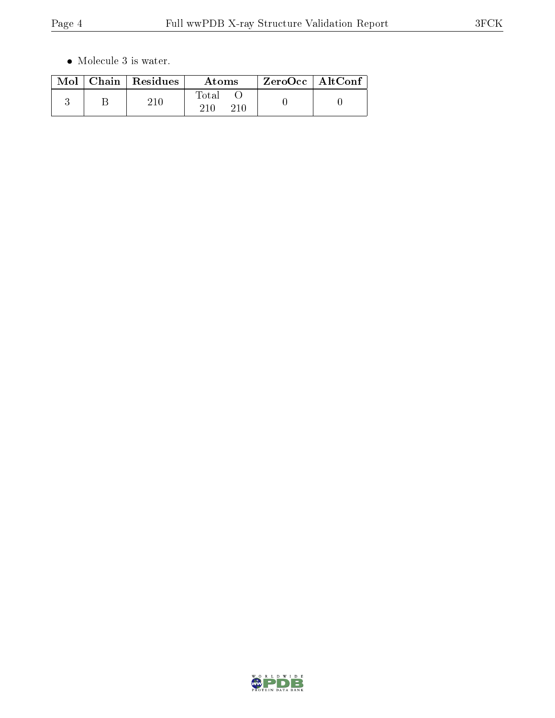$\bullet\,$  Molecule 3 is water.

|  | $\text{Mol}$   Chain   Residues | Atoms | $ZeroOcc \mid AltConf \mid$ |
|--|---------------------------------|-------|-----------------------------|
|  | 21 A                            | Total |                             |

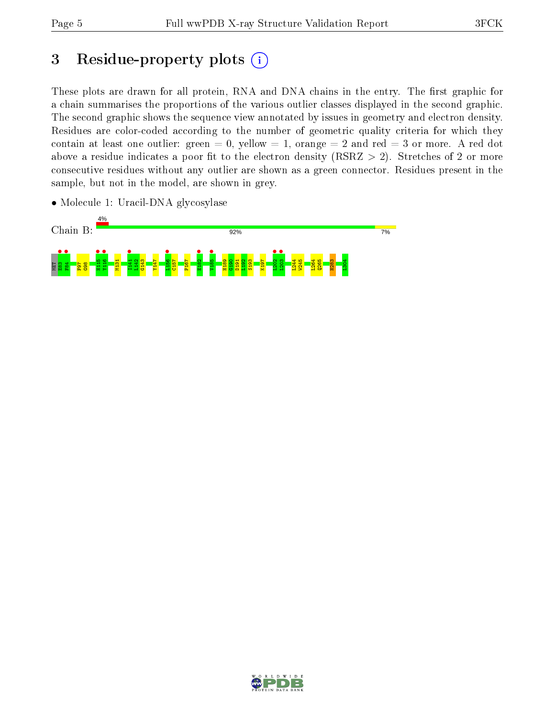## 3 Residue-property plots  $(i)$

These plots are drawn for all protein, RNA and DNA chains in the entry. The first graphic for a chain summarises the proportions of the various outlier classes displayed in the second graphic. The second graphic shows the sequence view annotated by issues in geometry and electron density. Residues are color-coded according to the number of geometric quality criteria for which they contain at least one outlier: green  $= 0$ , yellow  $= 1$ , orange  $= 2$  and red  $= 3$  or more. A red dot above a residue indicates a poor fit to the electron density (RSRZ  $> 2$ ). Stretches of 2 or more consecutive residues without any outlier are shown as a green connector. Residues present in the sample, but not in the model, are shown in grey.

• Molecule 1: Uracil-DNA glycosylase



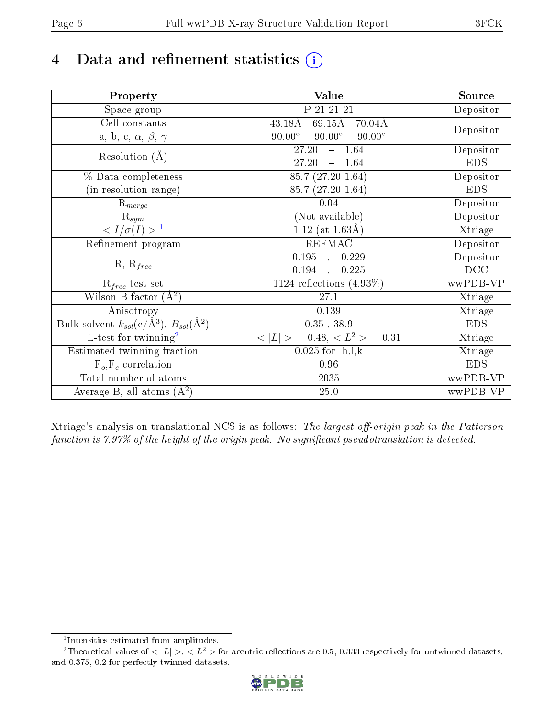# 4 Data and refinement statistics  $(i)$

| Property                                                             | Value                                                       | Source     |
|----------------------------------------------------------------------|-------------------------------------------------------------|------------|
| Space group                                                          | P 21 21 21                                                  | Depositor  |
| Cell constants                                                       | $69.15\text{\AA}$<br>$43.18\text{\AA}$<br>$70.04\text{\AA}$ |            |
| a, b, c, $\alpha$ , $\beta$ , $\gamma$                               | $90.00^\circ$<br>$90.00^\circ$<br>$90.00^\circ$             | Depositor  |
| Resolution $(A)$                                                     | $-1.64$<br>27.20                                            | Depositor  |
|                                                                      | 27.20<br>$-1.64$                                            | <b>EDS</b> |
| % Data completeness                                                  | 85.7 (27.20-1.64)                                           | Depositor  |
| (in resolution range)                                                | 85.7 (27.20-1.64)                                           | <b>EDS</b> |
| $R_{merge}$                                                          | 0.04                                                        | Depositor  |
| $\mathrm{R}_{sym}$                                                   | (Not available)                                             | Depositor  |
| $\sqrt{I/\sigma}(I) > 1$                                             | $1.12$ (at 1.63Å)                                           | Xtriage    |
| Refinement program                                                   | <b>REFMAC</b>                                               | Depositor  |
| $R, R_{free}$                                                        | $\overline{0.195}$ ,<br>0.229                               | Depositor  |
|                                                                      | 0.194<br>0.225                                              | DCC        |
| $R_{free}$ test set                                                  | 1124 reflections $(4.93\%)$                                 | wwPDB-VP   |
| Wilson B-factor $(A^2)$                                              | 27.1                                                        | Xtriage    |
| Anisotropy                                                           | 0.139                                                       | Xtriage    |
| Bulk solvent $k_{sol}(e/\mathring{A}^3)$ , $B_{sol}(\mathring{A}^2)$ | $0.35$ , $38.9$                                             | <b>EDS</b> |
| L-test for twinning <sup>2</sup>                                     | $< L >$ = 0.48, $< L2$ = 0.31                               | Xtriage    |
| Estimated twinning fraction                                          | $0.025$ for $-h, l, k$                                      | Xtriage    |
| $F_o, F_c$ correlation                                               | 0.96                                                        | <b>EDS</b> |
| Total number of atoms                                                | 2035                                                        | wwPDB-VP   |
| Average B, all atoms $(A^2)$                                         | 25.0                                                        | wwPDB-VP   |

Xtriage's analysis on translational NCS is as follows: The largest off-origin peak in the Patterson function is  $7.97\%$  of the height of the origin peak. No significant pseudotranslation is detected.

<sup>&</sup>lt;sup>2</sup>Theoretical values of  $\langle |L| \rangle$ ,  $\langle L^2 \rangle$  for acentric reflections are 0.5, 0.333 respectively for untwinned datasets, and 0.375, 0.2 for perfectly twinned datasets.



<span id="page-5-1"></span><span id="page-5-0"></span><sup>1</sup> Intensities estimated from amplitudes.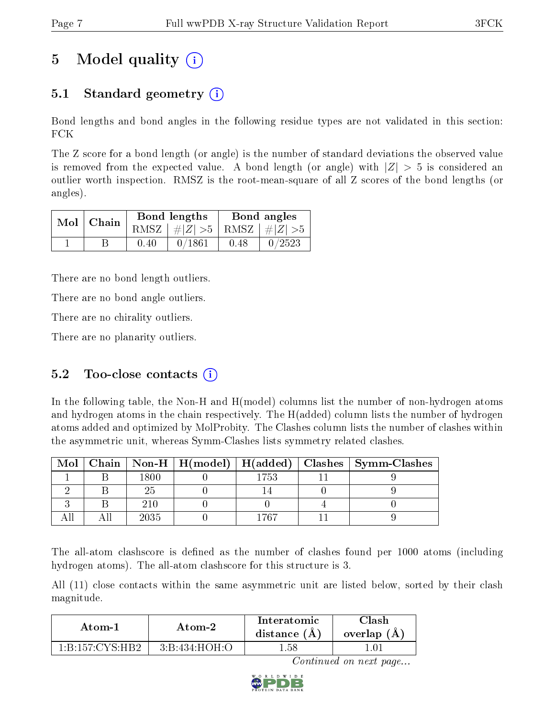## 5 Model quality  $(i)$

## 5.1 Standard geometry  $\overline{()}$

Bond lengths and bond angles in the following residue types are not validated in this section: FCK

The Z score for a bond length (or angle) is the number of standard deviations the observed value is removed from the expected value. A bond length (or angle) with  $|Z| > 5$  is considered an outlier worth inspection. RMSZ is the root-mean-square of all Z scores of the bond lengths (or angles).

| $Mol$   Chain |      | Bond lengths                    | Bond angles |        |  |
|---------------|------|---------------------------------|-------------|--------|--|
|               |      | RMSZ $ #Z  > 5$ RMSZ $ #Z  > 5$ |             |        |  |
|               | 0.40 | 0/1861                          | 0.48        | 0/2523 |  |

There are no bond length outliers.

There are no bond angle outliers.

There are no chirality outliers.

There are no planarity outliers.

## 5.2 Too-close contacts  $(i)$

In the following table, the Non-H and H(model) columns list the number of non-hydrogen atoms and hydrogen atoms in the chain respectively. The H(added) column lists the number of hydrogen atoms added and optimized by MolProbity. The Clashes column lists the number of clashes within the asymmetric unit, whereas Symm-Clashes lists symmetry related clashes.

| Mol |      |     | $\mid$ Chain $\mid$ Non-H $\mid$ H(model) $\mid$ H(added) $\mid$ Clashes $\mid$ Symm-Clashes $\mid$ |
|-----|------|-----|-----------------------------------------------------------------------------------------------------|
|     | 1800 | 753 |                                                                                                     |
|     |      |     |                                                                                                     |
|     | 210  |     |                                                                                                     |
|     | 2035 | 767 |                                                                                                     |

The all-atom clashscore is defined as the number of clashes found per 1000 atoms (including hydrogen atoms). The all-atom clashscore for this structure is 3.

All (11) close contacts within the same asymmetric unit are listed below, sorted by their clash magnitude.

| Atom-2                                    |               | <b>Interatomic</b> | Clash       |  |
|-------------------------------------------|---------------|--------------------|-------------|--|
| Atom-1                                    |               | distance (A)       | overlap (A) |  |
| $1 \cdot R \cdot 157 \cdot CVS \cdot HR9$ | 3:B:434:HOH:O | l .58              |             |  |

Continued on next page...

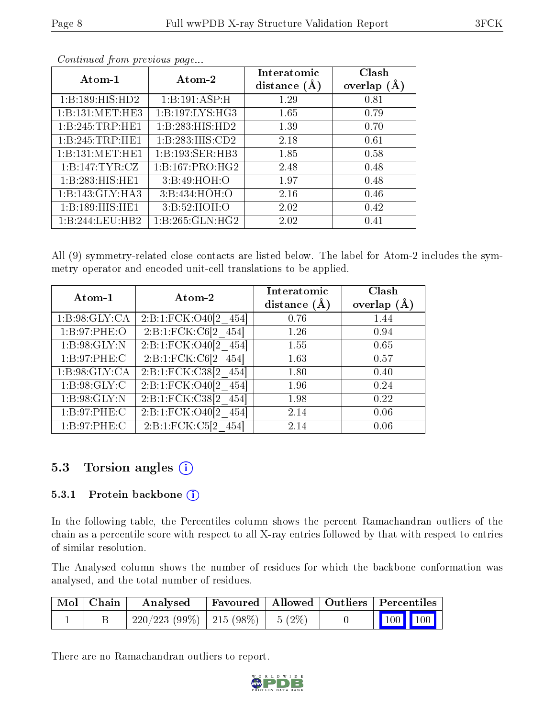|--|

| Atom-1            | Atom-2              | Interatomic<br>distance $(A)$ | Clash<br>overlap $(A)$ |  |
|-------------------|---------------------|-------------------------------|------------------------|--|
| 1:B:189:HIS:HD2   | 1:B:191:ASP:H       | 1.29                          | 0.81                   |  |
| 1:B:131:MET:HE3   | 1: B: 197: LYS: HG3 | 1.65                          | 0.79                   |  |
| 1:B:245:TRP:HE1   | 1:B:283:HIS:HD2     | 1.39                          | 0.70                   |  |
| 1:B:245:TRP:HE1   | 1:B:283:HIS:CD2     | 2.18                          | 0.61                   |  |
| 1:B:131:MET:HE1   | 1:B:193:SER:HB3     | 1.85                          | 0.58                   |  |
| 1: B:147: TYR: CZ | 1:B:167:PRO:HG2     | 2.48                          | 0.48                   |  |
| 1:B:283:HIS:HE1   | 3:Bi:49:HOH:O       | 1.97                          | 0.48                   |  |
| 1:B:143:GLY:HA3   | 3:B:434:HOH:O       | 2.16                          | 0.46                   |  |
| 1:B:189:HIS:HE1   | 3: B:52: HOH:O      | 2.02                          | 0.42                   |  |
| 1:B:244:LEU:HB2   | 1:B:265:GLN:HG2     | 2.02                          | 0.41                   |  |

Continued from previous page...

All (9) symmetry-related close contacts are listed below. The label for Atom-2 includes the symmetry operator and encoded unit-cell translations to be applied.

| Atom-1          | Atom-2                       | Interatomic<br>distance $(A)$ | Clash<br>overlap $(A)$ |
|-----------------|------------------------------|-------------------------------|------------------------|
| 1:B:98:GLY:CA   | $2:B:1:FCK:O40[2 \quad 454]$ | 0.76                          | 1.44                   |
| 1: B:97: PHE:O  | $2:Bi:IFCK:C6[2_454]$        | 1.26                          | 0.94                   |
| 1: B:98: GLY:N  | 2:B:1:FCK:O40[2 454]         | 1.55                          | 0.65                   |
| 1: B:97: PHE: C | 2:Bi:1:FCK:C6[2 454]         | 1.63                          | 0.57                   |
| 1:B:98:GLY:CA   | 2:B:1:FCK:C38[2 454]         | 1.80                          | 0.40                   |
| 1: B:98: GLY: C | $2:B:1:FCK:O40[2 \quad 454]$ | 1.96                          | 0.24                   |
| 1: B:98: GLY:N  | $2:B:1:FCK:C38[2 \ 454]$     | 1.98                          | 0.22                   |
| 1: B:97: PHE: C | $2:B:1:FCK:O40[2 \ 454]$     | 2.14                          | 0.06                   |
| 1: B:97:PHE:C   | 2:B:1:FCK:C5[2 454]          | 2.14                          | 0.06                   |

## 5.3 Torsion angles (i)

#### 5.3.1 Protein backbone (i)

In the following table, the Percentiles column shows the percent Ramachandran outliers of the chain as a percentile score with respect to all X-ray entries followed by that with respect to entries of similar resolution.

The Analysed column shows the number of residues for which the backbone conformation was analysed, and the total number of residues.

| Mol   Chain | Analysed                                |  |  | Favoured   Allowed   Outliers   Percentiles |                                                              |
|-------------|-----------------------------------------|--|--|---------------------------------------------|--------------------------------------------------------------|
|             | $220/223$ (99\%)   215 (98\%)   5 (2\%) |  |  |                                             | $\begin{array}{ c c c c c }\n\hline\n100 & 100\n\end{array}$ |

There are no Ramachandran outliers to report.

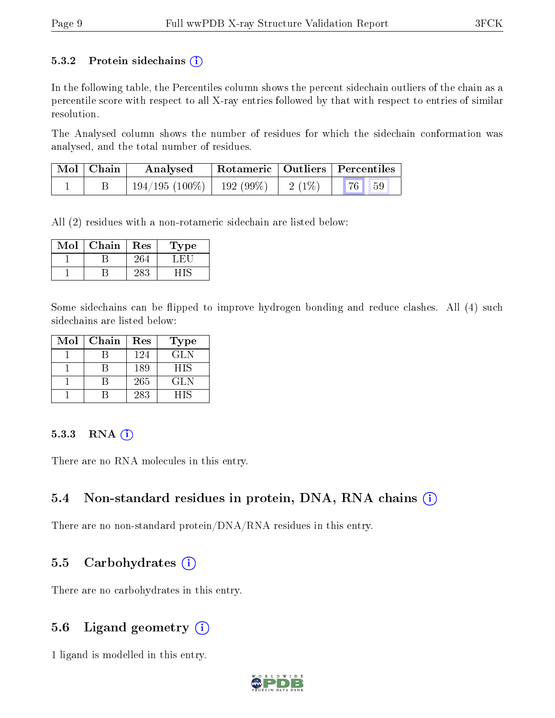#### 5.3.2 Protein sidechains  $(i)$

In the following table, the Percentiles column shows the percent sidechain outliers of the chain as a percentile score with respect to all X-ray entries followed by that with respect to entries of similar resolution.

The Analysed column shows the number of residues for which the sidechain conformation was analysed, and the total number of residues.

| $Mol$   Chain | Rotameric   Outliers   Percentiles<br>Analysed |  |          |           |  |
|---------------|------------------------------------------------|--|----------|-----------|--|
|               | $194/195(100\%)$   192 (99\%)                  |  | $2(1\%)$ | 76 <br>59 |  |

All (2) residues with a non-rotameric sidechain are listed below:

| Mol | Chain | $\operatorname{Res}% \left( \mathcal{N}\right) \equiv\operatorname{Res}(\mathcal{N}_{0},\mathcal{N}_{0})$ | 1'ype |
|-----|-------|-----------------------------------------------------------------------------------------------------------|-------|
|     |       |                                                                                                           |       |
|     |       |                                                                                                           |       |

Some sidechains can be flipped to improve hydrogen bonding and reduce clashes. All (4) such sidechains are listed below:

| Mol | Chain | Res | <b>Type</b> |
|-----|-------|-----|-------------|
|     |       | 124 | GLN         |
|     |       | 189 | <b>HIS</b>  |
|     |       | 265 | <b>GLN</b>  |
|     |       | 283 | HIS         |

#### 5.3.3 RNA (i)

There are no RNA molecules in this entry.

### 5.4 Non-standard residues in protein, DNA, RNA chains (i)

There are no non-standard protein/DNA/RNA residues in this entry.

### 5.5 Carbohydrates  $(i)$

There are no carbohydrates in this entry.

### 5.6 Ligand geometry  $(i)$

1 ligand is modelled in this entry.

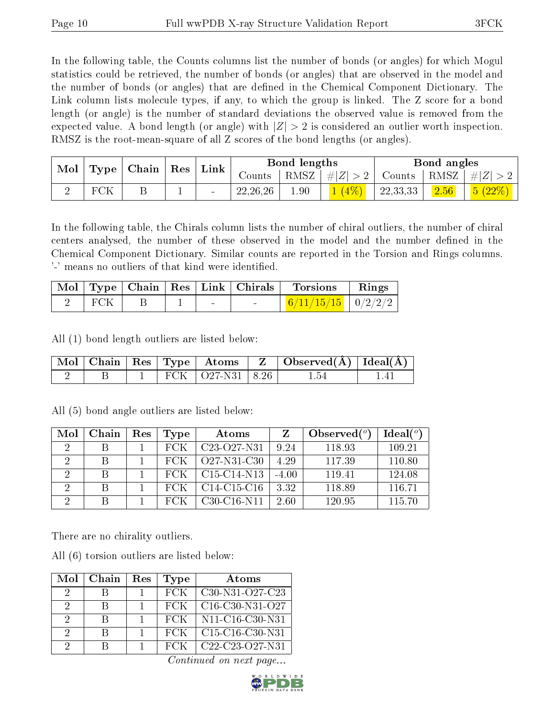In the following table, the Counts columns list the number of bonds (or angles) for which Mogul statistics could be retrieved, the number of bonds (or angles) that are observed in the model and the number of bonds (or angles) that are dened in the Chemical Component Dictionary. The Link column lists molecule types, if any, to which the group is linked. The Z score for a bond length (or angle) is the number of standard deviations the observed value is removed from the expected value. A bond length (or angle) with  $|Z| > 2$  is considered an outlier worth inspection. RMSZ is the root-mean-square of all Z scores of the bond lengths (or angles).

| Mol<br><b>Type</b> | $ $ Chain $ $ | $\operatorname{Res}$ |          | Link   |            | Bond lengths |        |          | Bond angles |          |
|--------------------|---------------|----------------------|----------|--------|------------|--------------|--------|----------|-------------|----------|
|                    |               |                      |          | Counts | RMSZ       | Z <br>$\#$   | Counts | RMSZ     | $\pm$ l     |          |
|                    |               |                      | <b>.</b> |        | 22, 26, 26 | 1.90         |        | 22,33,33 | 2.56        | $(22\%)$ |

In the following table, the Chirals column lists the number of chiral outliers, the number of chiral centers analysed, the number of these observed in the model and the number defined in the Chemical Component Dictionary. Similar counts are reported in the Torsion and Rings columns. '-' means no outliers of that kind were identified.

|     |  |        | Mol   Type   Chain   Res   Link   Chirals | <b>Torsions</b>                | Rings |
|-----|--|--------|-------------------------------------------|--------------------------------|-------|
| FCK |  | $\sim$ |                                           | $\frac{6}{11/15/15}$   0/2/2/2 |       |

All (1) bond length outliers are listed below:

|  |  |                                  | $\mid$ Mol $\mid$ Chain $\mid$ Res $\mid$ Type $\mid$ Atoms $\mid$ Z $\mid$ Observed(Å) $\mid$ Ideal(Å) $\mid$ |  |
|--|--|----------------------------------|----------------------------------------------------------------------------------------------------------------|--|
|  |  | FCK $\vert$ O27-N31 $\vert$ 8.26 |                                                                                                                |  |

| Mol | Chain | Res | Type | Atoms                                             |         | Observed $(^\circ)$ | Ideal $(^\circ)$ |
|-----|-------|-----|------|---------------------------------------------------|---------|---------------------|------------------|
|     |       |     | FCK  | C <sub>23</sub> -O <sub>27</sub> -N <sub>31</sub> | 9.24    | 118.93              | 109.21           |
|     | В     |     | FCK  | Q27-N31-C30                                       | 4.29    | 117.39              | 110.80           |
|     | В     |     | FCK  | $C15-C14-N13$                                     | $-4.00$ | 119.41              | 124.08           |
| റ   | В     |     | FCK  | $C14-C15-C16$                                     | 3.32    | 118.89              | 116.71           |
| റ   |       |     |      | $C30-C16-N11$                                     | 2.60    | 120.95              | 115.70           |

All (5) bond angle outliers are listed below:

There are no chirality outliers.

All (6) torsion outliers are listed below:

| Mol      | Chain | Res | Type | Atoms                                                              |
|----------|-------|-----|------|--------------------------------------------------------------------|
| 9        |       |     | FCK  | $C30-N31-O27-C23$                                                  |
| 9        |       |     | FCK  | $C16-C30-N31-O27$                                                  |
| -9       | в     |     | FCK  | N <sub>11</sub> -C <sub>16</sub> -C <sub>30</sub> -N <sub>31</sub> |
| $\Omega$ | R     |     | FCK  | $C15-C16-C30-N31$                                                  |
| 9        |       |     | FCK  | C22-C23-O27-N31                                                    |

Continued on next page...

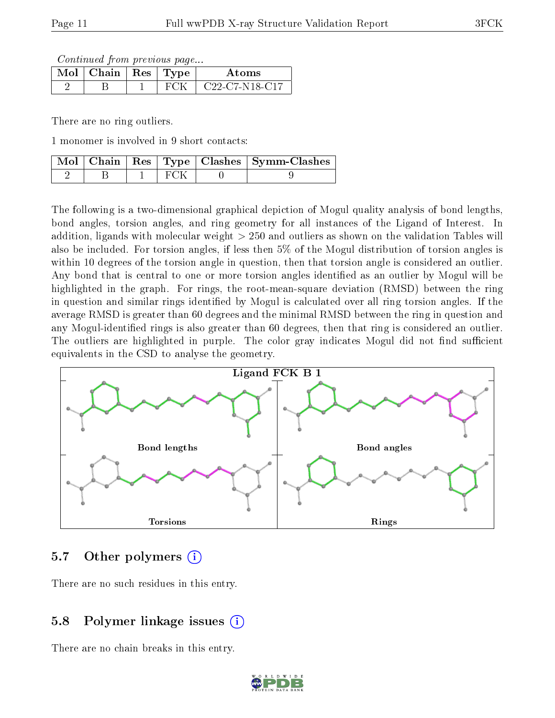Continued from previous page...

| $\text{Mol} \mid \text{Chain} \mid \text{Res} \mid \text{Type}$ |  | Atoms                  |
|-----------------------------------------------------------------|--|------------------------|
|                                                                 |  | $C22 - C7 - N18 - C17$ |

There are no ring outliers.

1 monomer is involved in 9 short contacts:

|  |         | Mol   Chain   Res   Type   Clashes   Symm-Clashes |
|--|---------|---------------------------------------------------|
|  | - FC 3K |                                                   |

The following is a two-dimensional graphical depiction of Mogul quality analysis of bond lengths, bond angles, torsion angles, and ring geometry for all instances of the Ligand of Interest. In addition, ligands with molecular weight > 250 and outliers as shown on the validation Tables will also be included. For torsion angles, if less then 5% of the Mogul distribution of torsion angles is within 10 degrees of the torsion angle in question, then that torsion angle is considered an outlier. Any bond that is central to one or more torsion angles identified as an outlier by Mogul will be highlighted in the graph. For rings, the root-mean-square deviation (RMSD) between the ring in question and similar rings identified by Mogul is calculated over all ring torsion angles. If the average RMSD is greater than 60 degrees and the minimal RMSD between the ring in question and any Mogul-identied rings is also greater than 60 degrees, then that ring is considered an outlier. The outliers are highlighted in purple. The color gray indicates Mogul did not find sufficient equivalents in the CSD to analyse the geometry.



### 5.7 [O](https://www.wwpdb.org/validation/2017/XrayValidationReportHelp#nonstandard_residues_and_ligands)ther polymers  $(i)$

There are no such residues in this entry.

## 5.8 Polymer linkage issues  $(i)$

There are no chain breaks in this entry.

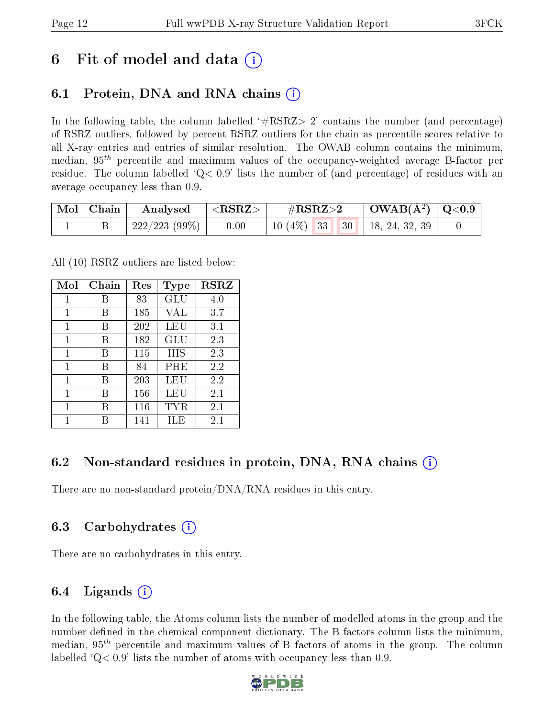## 6 Fit of model and data  $\left( \cdot \right)$

## 6.1 Protein, DNA and RNA chains (i)

In the following table, the column labelled  $#RSRZ>2'$  contains the number (and percentage) of RSRZ outliers, followed by percent RSRZ outliers for the chain as percentile scores relative to all X-ray entries and entries of similar resolution. The OWAB column contains the minimum, median,  $95<sup>th</sup>$  percentile and maximum values of the occupancy-weighted average B-factor per residue. The column labelled  $Q< 0.9$  lists the number of (and percentage) of residues with an average occupancy less than 0.9.

| $\mid$ Mol $\mid$ Chain | Analysed       | $<$ RSRZ $>$ | $\#\text{RSRZ}\text{>2}$       | $\mid$ OWAB(Å <sup>2</sup> ) $\mid$ Q<0.9 |  |
|-------------------------|----------------|--------------|--------------------------------|-------------------------------------------|--|
|                         | 222/223 (99\%) | 0.00         | $10(4\%)$ 33 30 18, 24, 32, 39 |                                           |  |

All (10) RSRZ outliers are listed below:

| Mol | Chain | $\operatorname{Res}% \left( \mathcal{N}\right) \equiv\operatorname{Res}(\mathcal{N}_{0},\mathcal{N}_{0})$ | Type | <b>RSRZ</b> |
|-----|-------|-----------------------------------------------------------------------------------------------------------|------|-------------|
| 1   | В     | 83                                                                                                        | GLU  | 4.0         |
| 1   | В     | 185                                                                                                       | VAL  | 3.7         |
| 1   | В     | 202                                                                                                       | LEU  | 3.1         |
| 1   | В     | 182                                                                                                       | GLU  | 2.3         |
| 1   | В     | 115                                                                                                       | HIS  | 2.3         |
| 1   | В     | 84                                                                                                        | PHE  | 2.2         |
| 1   | В     | 203                                                                                                       | LEU  | 2.2         |
| 1   | В     | 156                                                                                                       | LEU  | 2.1         |
| 1   | R     | 116                                                                                                       | TYR  | 2.1         |
| 1   |       | 141                                                                                                       | ILE  | $2.1\,$     |

## 6.2 Non-standard residues in protein, DNA, RNA chains (i)

There are no non-standard protein/DNA/RNA residues in this entry.

## 6.3 Carbohydrates (i)

There are no carbohydrates in this entry.

## 6.4 Ligands  $(i)$

In the following table, the Atoms column lists the number of modelled atoms in the group and the number defined in the chemical component dictionary. The B-factors column lists the minimum, median,  $95<sup>th</sup>$  percentile and maximum values of B factors of atoms in the group. The column labelled  $Q< 0.9$ ' lists the number of atoms with occupancy less than 0.9.